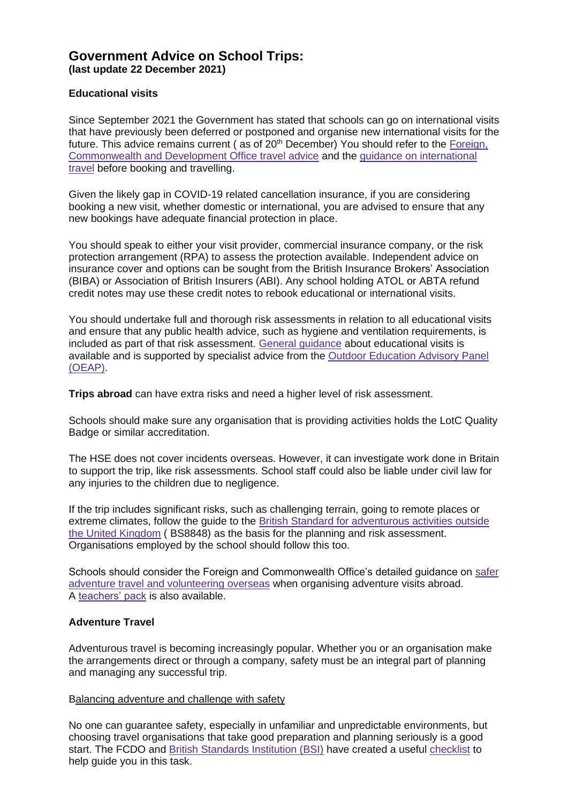# **Government Advice on School Trips: (last update 22 December 2021)**

### **Educational visits**

Since September 2021 the Government has stated that schools can go on international visits that have previously been deferred or postponed and organise new international visits for the future. This advice remains current  $($  as of  $20<sup>th</sup>$  December) You should refer to the Foreign, [Commonwealth and Development Office travel advice](https://www.gov.uk/foreign-travel-advice) and the [guidance on international](https://www.gov.uk/guidance/red-amber-and-green-list-rules-for-entering-england)  [travel](https://www.gov.uk/guidance/red-amber-and-green-list-rules-for-entering-england) before booking and travelling.

Given the likely gap in COVID-19 related cancellation insurance, if you are considering booking a new visit, whether domestic or international, you are advised to ensure that any new bookings have adequate financial protection in place.

You should speak to either your visit provider, commercial insurance company, or the risk protection arrangement (RPA) to assess the protection available. Independent advice on insurance cover and options can be sought from the British Insurance Brokers' Association (BIBA) or Association of British Insurers (ABI). Any school holding ATOL or ABTA refund credit notes may use these credit notes to rebook educational or international visits.

You should undertake full and thorough risk assessments in relation to all educational visits and ensure that any public health advice, such as hygiene and ventilation requirements, is included as part of that risk assessment. [General guidance](https://www.gov.uk/government/publications/health-and-safety-on-educational-visits) about educational visits is available and is supported by specialist advice from the [Outdoor Education Advisory Panel](https://oeapng.info/)  [\(OEAP\).](https://oeapng.info/)

**Trips abroad** can have extra risks and need a higher level of risk assessment.

Schools should make sure any organisation that is providing activities holds the LotC Quality Badge or similar accreditation.

The HSE does not cover incidents overseas. However, it can investigate work done in Britain to support the trip, like risk assessments. School staff could also be liable under civil law for any injuries to the children due to negligence.

If the trip includes significant risks, such as challenging terrain, going to remote places or extreme climates, follow the guide to the [British Standard for adventurous activities outside](https://www.bsigroup.com/en-GB/about-bsi/uk-national-standards-body/what-is-the-national-standards-body/why-standards-matter-for-consumers/consumer-resources/)  [the United Kingdom](https://www.bsigroup.com/en-GB/about-bsi/uk-national-standards-body/what-is-the-national-standards-body/why-standards-matter-for-consumers/consumer-resources/) ( BS8848) as the basis for the planning and risk assessment. Organisations employed by the school should follow this too.

Schools should consider the Foreign and Commonwealth Office's detailed guidance on [safer](https://www.gov.uk/safer-adventure-travel-and-volunteering-overseas)  [adventure travel and volunteering overseas](https://www.gov.uk/safer-adventure-travel-and-volunteering-overseas) when organising adventure visits abroad. A [teachers' pack](https://www.gov.uk/teachers-pack) is also available.

## **Adventure Travel**

Adventurous travel is becoming increasingly popular. Whether you or an organisation make the arrangements direct or through a company, safety must be an integral part of planning and managing any successful trip.

#### Balancing adventure and challenge with safety

No one can guarantee safety, especially in unfamiliar and unpredictable environments, but choosing travel organisations that take good preparation and planning seriously is a good start. The FCDO and [British Standards Institution \(BSI\)](https://www.bsigroup.com/) have created a useful [checklist](https://www.gov.uk/government/publications/adventure-travel-abroad-play-it-safe) to help quide you in this task.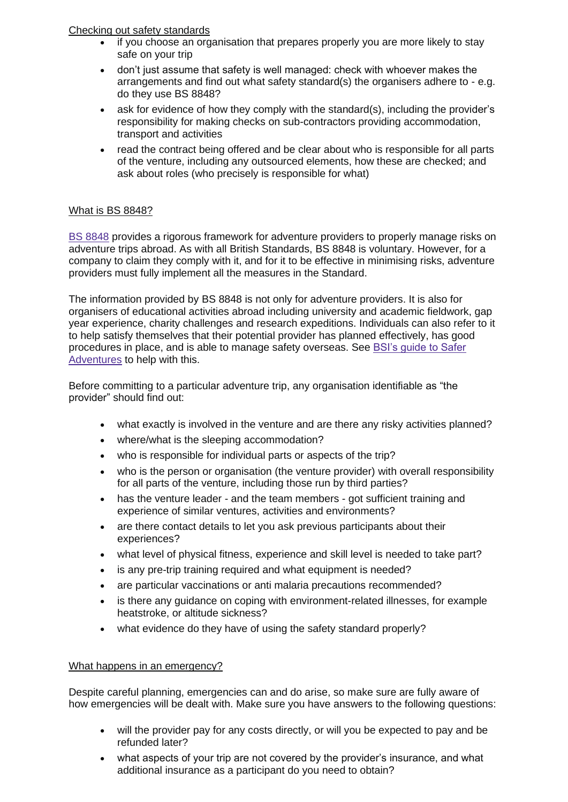# Checking out safety standards

- if you choose an organisation that prepares properly you are more likely to stay safe on your trip
- don't just assume that safety is well managed: check with whoever makes the arrangements and find out what safety standard(s) the organisers adhere to - e.g. do they use BS 8848?
- ask for evidence of how they comply with the standard(s), including the provider's responsibility for making checks on sub-contractors providing accommodation, transport and activities
- read the contract being offered and be clear about who is responsible for all parts of the venture, including any outsourced elements, how these are checked; and ask about roles (who precisely is responsible for what)

# What is BS 8848?

[BS 8848](https://www.bsigroup.com/LocalFiles/en-GB/consumer-guides/resources/BSI-Consumer-Brochure-Adventurous-Activities-UK-EN.pdf) provides a rigorous framework for adventure providers to properly manage risks on adventure trips abroad. As with all British Standards, BS 8848 is voluntary. However, for a company to claim they comply with it, and for it to be effective in minimising risks, adventure providers must fully implement all the measures in the Standard.

The information provided by BS 8848 is not only for adventure providers. It is also for organisers of educational activities abroad including university and academic fieldwork, gap year experience, charity challenges and research expeditions. Individuals can also refer to it to help satisfy themselves that their potential provider has planned effectively, has good procedures in place, and is able to manage safety overseas. See [BSI's guide to Safer](https://www.bsigroup.com/LocalFiles/en-GB/consumer-guides/resources/BSI-Consumer-Brochure-Adventurous-Activities-UK-EN.pdf)  [Adventures](https://www.bsigroup.com/LocalFiles/en-GB/consumer-guides/resources/BSI-Consumer-Brochure-Adventurous-Activities-UK-EN.pdf) to help with this.

Before committing to a particular adventure trip, any organisation identifiable as "the provider" should find out:

- what exactly is involved in the venture and are there any risky activities planned?
- where/what is the sleeping accommodation?
- who is responsible for individual parts or aspects of the trip?
- who is the person or organisation (the venture provider) with overall responsibility for all parts of the venture, including those run by third parties?
- has the venture leader and the team members got sufficient training and experience of similar ventures, activities and environments?
- are there contact details to let you ask previous participants about their experiences?
- what level of physical fitness, experience and skill level is needed to take part?
- is any pre-trip training required and what equipment is needed?
- are particular vaccinations or anti malaria precautions recommended?
- is there any guidance on coping with environment-related illnesses, for example heatstroke, or altitude sickness?
- what evidence do they have of using the safety standard properly?

## What happens in an emergency?

Despite careful planning, emergencies can and do arise, so make sure are fully aware of how emergencies will be dealt with. Make sure you have answers to the following questions:

- will the provider pay for any costs directly, or will you be expected to pay and be refunded later?
- what aspects of your trip are not covered by the provider's insurance, and what additional insurance as a participant do you need to obtain?